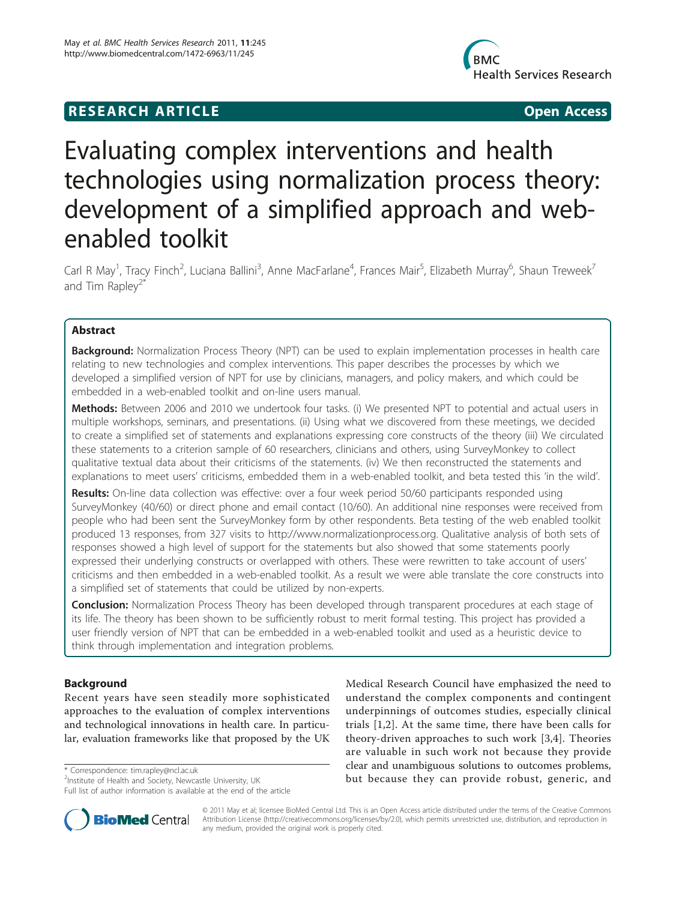## **RESEARCH ARTICLE Example 2018 12:00 Open Access**



# Evaluating complex interventions and health technologies using normalization process theory: development of a simplified approach and webenabled toolkit

Carl R May<sup>1</sup>, Tracy Finch<sup>2</sup>, Luciana Ballini<sup>3</sup>, Anne MacFarlane<sup>4</sup>, Frances Mair<sup>5</sup>, Elizabeth Murray<sup>6</sup>, Shaun Treweek<sup>7</sup> and Tim Rapley<sup>2</sup>

## Abstract

**Background:** Normalization Process Theory (NPT) can be used to explain implementation processes in health care relating to new technologies and complex interventions. This paper describes the processes by which we developed a simplified version of NPT for use by clinicians, managers, and policy makers, and which could be embedded in a web-enabled toolkit and on-line users manual.

Methods: Between 2006 and 2010 we undertook four tasks. (i) We presented NPT to potential and actual users in multiple workshops, seminars, and presentations. (ii) Using what we discovered from these meetings, we decided to create a simplified set of statements and explanations expressing core constructs of the theory (iii) We circulated these statements to a criterion sample of 60 researchers, clinicians and others, using SurveyMonkey to collect qualitative textual data about their criticisms of the statements. (iv) We then reconstructed the statements and explanations to meet users' criticisms, embedded them in a web-enabled toolkit, and beta tested this 'in the wild'.

Results: On-line data collection was effective: over a four week period 50/60 participants responded using SurveyMonkey (40/60) or direct phone and email contact (10/60). An additional nine responses were received from people who had been sent the SurveyMonkey form by other respondents. Beta testing of the web enabled toolkit produced 13 responses, from 327 visits to<http://www.normalizationprocess.org>. Qualitative analysis of both sets of responses showed a high level of support for the statements but also showed that some statements poorly expressed their underlying constructs or overlapped with others. These were rewritten to take account of users' criticisms and then embedded in a web-enabled toolkit. As a result we were able translate the core constructs into a simplified set of statements that could be utilized by non-experts.

**Conclusion:** Normalization Process Theory has been developed through transparent procedures at each stage of its life. The theory has been shown to be sufficiently robust to merit formal testing. This project has provided a user friendly version of NPT that can be embedded in a web-enabled toolkit and used as a heuristic device to think through implementation and integration problems.

## Background

Recent years have seen steadily more sophisticated approaches to the evaluation of complex interventions and technological innovations in health care. In particular, evaluation frameworks like that proposed by the UK

Full list of author information is available at the end of the article

Medical Research Council have emphasized the need to understand the complex components and contingent underpinnings of outcomes studies, especially clinical trials [[1,2\]](#page-9-0). At the same time, there have been calls for theory-driven approaches to such work [[3,4](#page-9-0)]. Theories are valuable in such work not because they provide clear and unambiguous solutions to outcomes problems, correspondence: [tim.rapley@ncl.ac.uk](mailto:tim.rapley@ncl.ac.uk)<br>
<sup>2</sup>Institute of Health and Society, Newcastle University, UK<br> **but because they can provide robust, generic, and** 



© 2011 May et al; licensee BioMed Central Ltd. This is an Open Access article distributed under the terms of the Creative Commons Attribution License [\(http://creativecommons.org/licenses/by/2.0](http://creativecommons.org/licenses/by/2.0)), which permits unrestricted use, distribution, and reproduction in any medium, provided the original work is properly cited.

<sup>&</sup>lt;sup>2</sup>Institute of Health and Society, Newcastle University, UK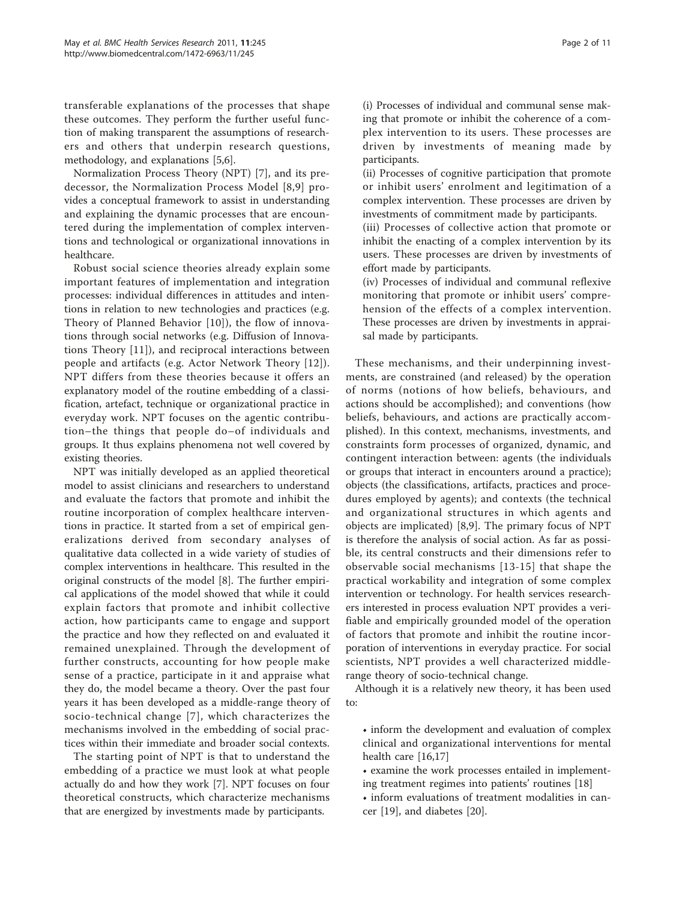transferable explanations of the processes that shape these outcomes. They perform the further useful function of making transparent the assumptions of researchers and others that underpin research questions, methodology, and explanations [[5](#page-9-0),[6\]](#page-9-0).

Normalization Process Theory (NPT) [\[7](#page-9-0)], and its predecessor, the Normalization Process Model [[8,9](#page-9-0)] provides a conceptual framework to assist in understanding and explaining the dynamic processes that are encountered during the implementation of complex interventions and technological or organizational innovations in healthcare.

Robust social science theories already explain some important features of implementation and integration processes: individual differences in attitudes and intentions in relation to new technologies and practices (e.g. Theory of Planned Behavior [[10](#page-9-0)]), the flow of innovations through social networks (e.g. Diffusion of Innovations Theory [\[11\]](#page-9-0)), and reciprocal interactions between people and artifacts (e.g. Actor Network Theory [[12\]](#page-9-0)). NPT differs from these theories because it offers an explanatory model of the routine embedding of a classification, artefact, technique or organizational practice in everyday work. NPT focuses on the agentic contribution–the things that people do–of individuals and groups. It thus explains phenomena not well covered by existing theories.

NPT was initially developed as an applied theoretical model to assist clinicians and researchers to understand and evaluate the factors that promote and inhibit the routine incorporation of complex healthcare interventions in practice. It started from a set of empirical generalizations derived from secondary analyses of qualitative data collected in a wide variety of studies of complex interventions in healthcare. This resulted in the original constructs of the model [[8\]](#page-9-0). The further empirical applications of the model showed that while it could explain factors that promote and inhibit collective action, how participants came to engage and support the practice and how they reflected on and evaluated it remained unexplained. Through the development of further constructs, accounting for how people make sense of a practice, participate in it and appraise what they do, the model became a theory. Over the past four years it has been developed as a middle-range theory of socio-technical change [[7](#page-9-0)], which characterizes the mechanisms involved in the embedding of social practices within their immediate and broader social contexts.

The starting point of NPT is that to understand the embedding of a practice we must look at what people actually do and how they work [[7\]](#page-9-0). NPT focuses on four theoretical constructs, which characterize mechanisms that are energized by investments made by participants.

(i) Processes of individual and communal sense making that promote or inhibit the coherence of a complex intervention to its users. These processes are driven by investments of meaning made by participants.

(ii) Processes of cognitive participation that promote or inhibit users' enrolment and legitimation of a complex intervention. These processes are driven by investments of commitment made by participants.

(iii) Processes of collective action that promote or inhibit the enacting of a complex intervention by its users. These processes are driven by investments of effort made by participants.

(iv) Processes of individual and communal reflexive monitoring that promote or inhibit users' comprehension of the effects of a complex intervention. These processes are driven by investments in appraisal made by participants.

These mechanisms, and their underpinning investments, are constrained (and released) by the operation of norms (notions of how beliefs, behaviours, and actions should be accomplished); and conventions (how beliefs, behaviours, and actions are practically accomplished). In this context, mechanisms, investments, and constraints form processes of organized, dynamic, and contingent interaction between: agents (the individuals or groups that interact in encounters around a practice); objects (the classifications, artifacts, practices and procedures employed by agents); and contexts (the technical and organizational structures in which agents and objects are implicated) [[8,9](#page-9-0)]. The primary focus of NPT is therefore the analysis of social action. As far as possible, its central constructs and their dimensions refer to observable social mechanisms [[13](#page-9-0)-[15\]](#page-9-0) that shape the practical workability and integration of some complex intervention or technology. For health services researchers interested in process evaluation NPT provides a verifiable and empirically grounded model of the operation of factors that promote and inhibit the routine incorporation of interventions in everyday practice. For social scientists, NPT provides a well characterized middlerange theory of socio-technical change.

Although it is a relatively new theory, it has been used to:

• inform the development and evaluation of complex clinical and organizational interventions for mental health care [\[16,17\]](#page-9-0)

<sup>•</sup> examine the work processes entailed in implementing treatment regimes into patients' routines [\[18](#page-9-0)]

<sup>•</sup> inform evaluations of treatment modalities in cancer [\[19](#page-9-0)], and diabetes [\[20](#page-9-0)].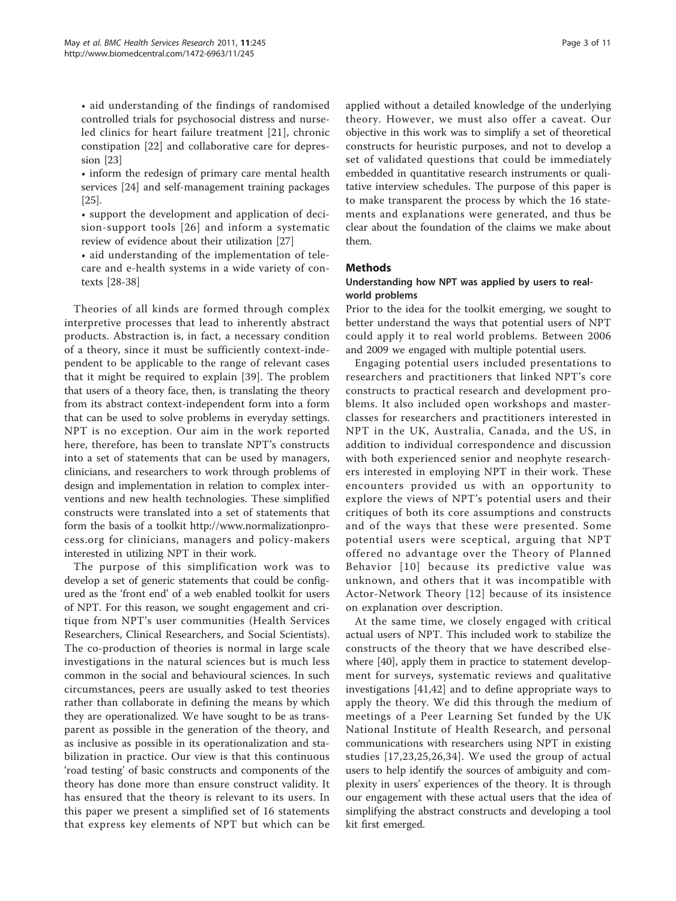• aid understanding of the findings of randomised controlled trials for psychosocial distress and nurseled clinics for heart failure treatment [[21](#page-9-0)], chronic constipation [\[22](#page-9-0)] and collaborative care for depression [[23\]](#page-9-0)

• inform the redesign of primary care mental health services [[24\]](#page-9-0) and self-management training packages [[25\]](#page-9-0).

• support the development and application of decision-support tools [[26](#page-9-0)] and inform a systematic review of evidence about their utilization [\[27](#page-9-0)]

• aid understanding of the implementation of telecare and e-health systems in a wide variety of contexts [\[28](#page-10-0)-[38](#page-10-0)]

Theories of all kinds are formed through complex interpretive processes that lead to inherently abstract products. Abstraction is, in fact, a necessary condition of a theory, since it must be sufficiently context-independent to be applicable to the range of relevant cases that it might be required to explain [[39](#page-10-0)]. The problem that users of a theory face, then, is translating the theory from its abstract context-independent form into a form that can be used to solve problems in everyday settings. NPT is no exception. Our aim in the work reported here, therefore, has been to translate NPT's constructs into a set of statements that can be used by managers, clinicians, and researchers to work through problems of design and implementation in relation to complex interventions and new health technologies. These simplified constructs were translated into a set of statements that form the basis of a toolkit [http://www.normalizationpro](http://www.normalizationprocess.org)[cess.org](http://www.normalizationprocess.org) for clinicians, managers and policy-makers interested in utilizing NPT in their work.

The purpose of this simplification work was to develop a set of generic statements that could be configured as the 'front end' of a web enabled toolkit for users of NPT. For this reason, we sought engagement and critique from NPT's user communities (Health Services Researchers, Clinical Researchers, and Social Scientists). The co-production of theories is normal in large scale investigations in the natural sciences but is much less common in the social and behavioural sciences. In such circumstances, peers are usually asked to test theories rather than collaborate in defining the means by which they are operationalized. We have sought to be as transparent as possible in the generation of the theory, and as inclusive as possible in its operationalization and stabilization in practice. Our view is that this continuous 'road testing' of basic constructs and components of the theory has done more than ensure construct validity. It has ensured that the theory is relevant to its users. In this paper we present a simplified set of 16 statements that express key elements of NPT but which can be applied without a detailed knowledge of the underlying theory. However, we must also offer a caveat. Our objective in this work was to simplify a set of theoretical constructs for heuristic purposes, and not to develop a set of validated questions that could be immediately embedded in quantitative research instruments or qualitative interview schedules. The purpose of this paper is to make transparent the process by which the 16 statements and explanations were generated, and thus be clear about the foundation of the claims we make about them.

#### Methods

#### Understanding how NPT was applied by users to realworld problems

Prior to the idea for the toolkit emerging, we sought to better understand the ways that potential users of NPT could apply it to real world problems. Between 2006 and 2009 we engaged with multiple potential users.

Engaging potential users included presentations to researchers and practitioners that linked NPT's core constructs to practical research and development problems. It also included open workshops and masterclasses for researchers and practitioners interested in NPT in the UK, Australia, Canada, and the US, in addition to individual correspondence and discussion with both experienced senior and neophyte researchers interested in employing NPT in their work. These encounters provided us with an opportunity to explore the views of NPT's potential users and their critiques of both its core assumptions and constructs and of the ways that these were presented. Some potential users were sceptical, arguing that NPT offered no advantage over the Theory of Planned Behavior [[10](#page-9-0)] because its predictive value was unknown, and others that it was incompatible with Actor-Network Theory [[12](#page-9-0)] because of its insistence on explanation over description.

At the same time, we closely engaged with critical actual users of NPT. This included work to stabilize the constructs of the theory that we have described elsewhere [[40](#page-10-0)], apply them in practice to statement development for surveys, systematic reviews and qualitative investigations [[41,42](#page-10-0)] and to define appropriate ways to apply the theory. We did this through the medium of meetings of a Peer Learning Set funded by the UK National Institute of Health Research, and personal communications with researchers using NPT in existing studies [[17](#page-9-0),[23,25,26,](#page-9-0)[34](#page-10-0)]. We used the group of actual users to help identify the sources of ambiguity and complexity in users' experiences of the theory. It is through our engagement with these actual users that the idea of simplifying the abstract constructs and developing a tool kit first emerged.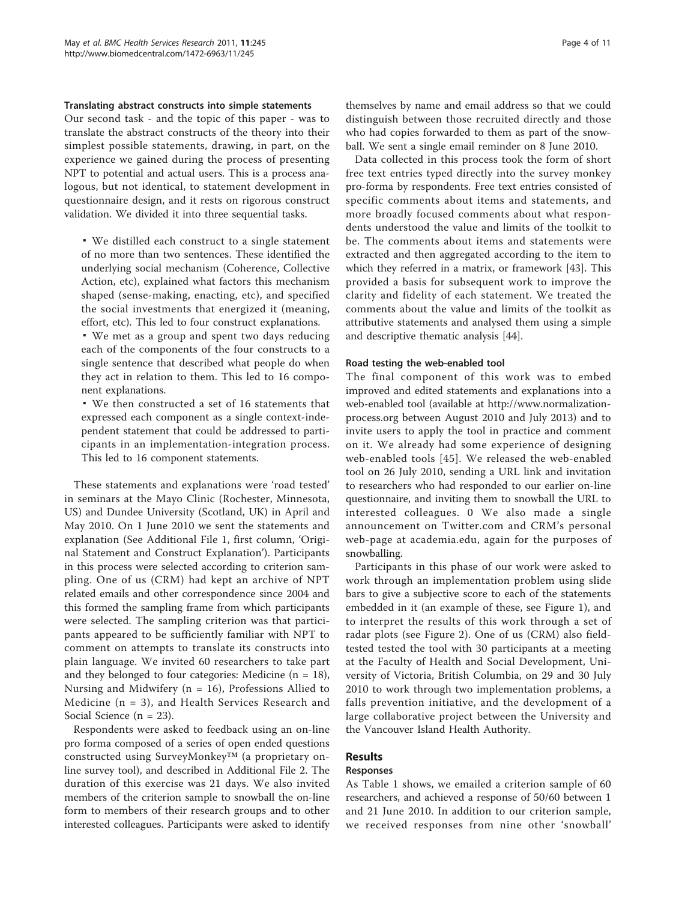#### Translating abstract constructs into simple statements

Our second task - and the topic of this paper - was to translate the abstract constructs of the theory into their simplest possible statements, drawing, in part, on the experience we gained during the process of presenting NPT to potential and actual users. This is a process analogous, but not identical, to statement development in questionnaire design, and it rests on rigorous construct validation. We divided it into three sequential tasks.

▪ We distilled each construct to a single statement of no more than two sentences. These identified the underlying social mechanism (Coherence, Collective Action, etc), explained what factors this mechanism shaped (sense-making, enacting, etc), and specified the social investments that energized it (meaning, effort, etc). This led to four construct explanations.

▪ We met as a group and spent two days reducing each of the components of the four constructs to a single sentence that described what people do when they act in relation to them. This led to 16 component explanations.

▪ We then constructed a set of 16 statements that expressed each component as a single context-independent statement that could be addressed to participants in an implementation-integration process. This led to 16 component statements.

These statements and explanations were 'road tested' in seminars at the Mayo Clinic (Rochester, Minnesota, US) and Dundee University (Scotland, UK) in April and May 2010. On 1 June 2010 we sent the statements and explanation (See Additional File [1](#page-9-0), first column, 'Original Statement and Construct Explanation'). Participants in this process were selected according to criterion sampling. One of us (CRM) had kept an archive of NPT related emails and other correspondence since 2004 and this formed the sampling frame from which participants were selected. The sampling criterion was that participants appeared to be sufficiently familiar with NPT to comment on attempts to translate its constructs into plain language. We invited 60 researchers to take part and they belonged to four categories: Medicine  $(n = 18)$ , Nursing and Midwifery ( $n = 16$ ), Professions Allied to Medicine (n = 3), and Health Services Research and Social Science (n = 23).

Respondents were asked to feedback using an on-line pro forma composed of a series of open ended questions constructed using SurveyMonkey™ (a proprietary online survey tool), and described in Additional File [2.](#page-9-0) The duration of this exercise was 21 days. We also invited members of the criterion sample to snowball the on-line form to members of their research groups and to other interested colleagues. Participants were asked to identify

themselves by name and email address so that we could distinguish between those recruited directly and those who had copies forwarded to them as part of the snowball. We sent a single email reminder on 8 June 2010.

Data collected in this process took the form of short free text entries typed directly into the survey monkey pro-forma by respondents. Free text entries consisted of specific comments about items and statements, and more broadly focused comments about what respondents understood the value and limits of the toolkit to be. The comments about items and statements were extracted and then aggregated according to the item to which they referred in a matrix, or framework [\[43\]](#page-10-0). This provided a basis for subsequent work to improve the clarity and fidelity of each statement. We treated the comments about the value and limits of the toolkit as attributive statements and analysed them using a simple and descriptive thematic analysis [[44\]](#page-10-0).

#### Road testing the web-enabled tool

The final component of this work was to embed improved and edited statements and explanations into a web-enabled tool (available at [http://www.normalization](http://www.normalizationprocess.org)[process.org](http://www.normalizationprocess.org) between August 2010 and July 2013) and to invite users to apply the tool in practice and comment on it. We already had some experience of designing web-enabled tools [[45](#page-10-0)]. We released the web-enabled tool on 26 July 2010, sending a URL link and invitation to researchers who had responded to our earlier on-line questionnaire, and inviting them to snowball the URL to interested colleagues. 0 We also made a single announcement on Twitter.com and CRM's personal web-page at academia.edu, again for the purposes of snowballing.

Participants in this phase of our work were asked to work through an implementation problem using slide bars to give a subjective score to each of the statements embedded in it (an example of these, see Figure [1\)](#page-4-0), and to interpret the results of this work through a set of radar plots (see Figure [2](#page-5-0)). One of us (CRM) also fieldtested tested the tool with 30 participants at a meeting at the Faculty of Health and Social Development, University of Victoria, British Columbia, on 29 and 30 July 2010 to work through two implementation problems, a falls prevention initiative, and the development of a large collaborative project between the University and the Vancouver Island Health Authority.

## Results

## Responses

As Table [1](#page-5-0) shows, we emailed a criterion sample of 60 researchers, and achieved a response of 50/60 between 1 and 21 June 2010. In addition to our criterion sample, we received responses from nine other 'snowball'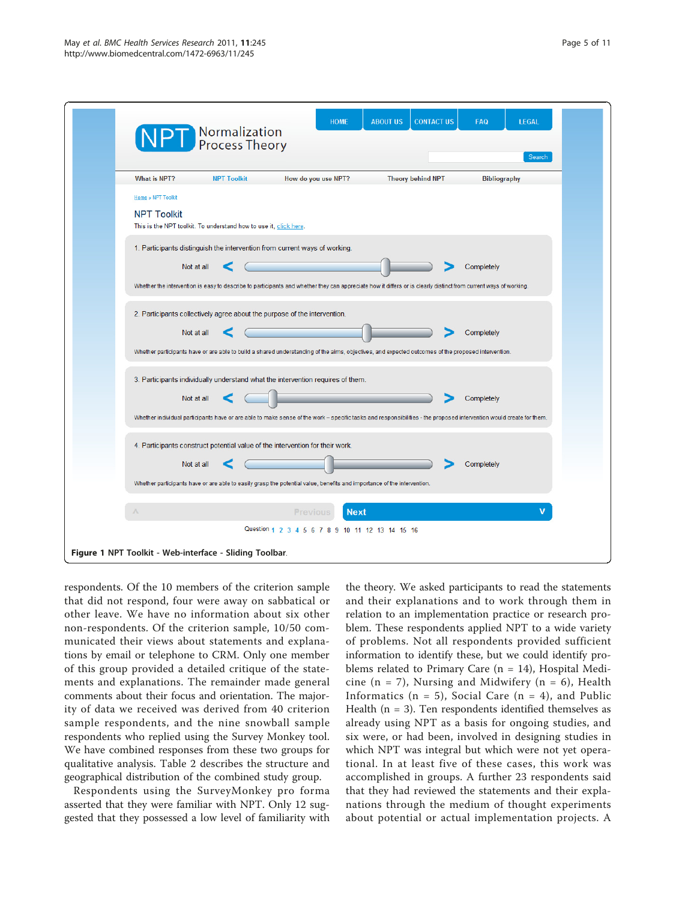<span id="page-4-0"></span>

| <b>ABOUT US</b><br><b>CONTACT US</b><br><b>FAQ</b><br><b>LEGAL</b><br><b>HOME</b>                                                                                                                                                                                          |  |
|----------------------------------------------------------------------------------------------------------------------------------------------------------------------------------------------------------------------------------------------------------------------------|--|
| <b>NPT</b> Normalization<br>Process Theory<br>Search                                                                                                                                                                                                                       |  |
| <b>What is NPT?</b><br><b>NPT Toolkit</b><br>How do you use NPT?<br><b>Theory behind NPT</b><br><b>Bibliography</b>                                                                                                                                                        |  |
| Home » NPT Toolkit                                                                                                                                                                                                                                                         |  |
| <b>NPT Toolkit</b><br>This is the NPT toolkit. To understand how to use it, click here.                                                                                                                                                                                    |  |
| 1. Participants distinguish the intervention from current ways of working.<br>Not at all<br>Completely<br>Whether the intervention is easy to describe to participants and whether they can appreciate how it differs or is clearly distinct from current ways of working. |  |
| 2. Participants collectively agree about the purpose of the intervention.<br>Not at all<br>Completely                                                                                                                                                                      |  |
| Whether participants have or are able to build a shared understanding of the aims, objectives, and expected outcomes of the proposed intervention.<br>3. Participants individually understand what the intervention requires of them.<br>Not at all<br>Completely          |  |
| Whether individual participants have or are able to make sense of the work - specific tasks and responsibilities - the proposed intervention would create for them.                                                                                                        |  |
| 4. Participants construct potential value of the intervention for their work.<br>Not at all<br>Completely                                                                                                                                                                  |  |
| Whether participants have or are able to easily grasp the potential value, benefits and importance of the intervention.                                                                                                                                                    |  |
| v<br>Λ<br><b>Next</b><br><b>Previous</b><br>Question 1 2 3 4 5 6 7 8 9 10 11 12 13 14 15 16                                                                                                                                                                                |  |
| Figure 1 NPT Toolkit - Web-interface - Sliding Toolbar.                                                                                                                                                                                                                    |  |

respondents. Of the 10 members of the criterion sample that did not respond, four were away on sabbatical or other leave. We have no information about six other non-respondents. Of the criterion sample, 10/50 communicated their views about statements and explanations by email or telephone to CRM. Only one member of this group provided a detailed critique of the statements and explanations. The remainder made general comments about their focus and orientation. The majority of data we received was derived from 40 criterion sample respondents, and the nine snowball sample respondents who replied using the Survey Monkey tool. We have combined responses from these two groups for qualitative analysis. Table [2](#page-6-0) describes the structure and geographical distribution of the combined study group.

Respondents using the SurveyMonkey pro forma asserted that they were familiar with NPT. Only 12 suggested that they possessed a low level of familiarity with the theory. We asked participants to read the statements and their explanations and to work through them in relation to an implementation practice or research problem. These respondents applied NPT to a wide variety of problems. Not all respondents provided sufficient information to identify these, but we could identify problems related to Primary Care  $(n = 14)$ , Hospital Medicine (n = 7), Nursing and Midwifery (n = 6), Health Informatics  $(n = 5)$ , Social Care  $(n = 4)$ , and Public Health ( $n = 3$ ). Ten respondents identified themselves as already using NPT as a basis for ongoing studies, and six were, or had been, involved in designing studies in which NPT was integral but which were not yet operational. In at least five of these cases, this work was accomplished in groups. A further 23 respondents said that they had reviewed the statements and their explanations through the medium of thought experiments about potential or actual implementation projects. A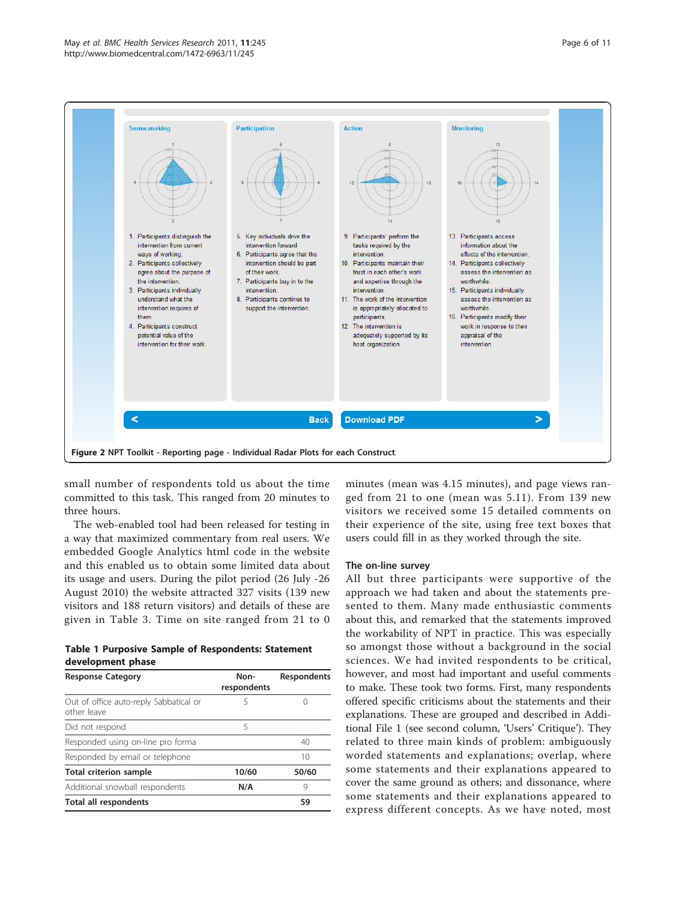<span id="page-5-0"></span>

small number of respondents told us about the time committed to this task. This ranged from 20 minutes to three hours.

The web-enabled tool had been released for testing in a way that maximized commentary from real users. We embedded Google Analytics html code in the website and this enabled us to obtain some limited data about its usage and users. During the pilot period (26 July -26 August 2010) the website attracted 327 visits (139 new visitors and 188 return visitors) and details of these are given in Table [3.](#page-6-0) Time on site ranged from 21 to 0

| Table 1 Purposive Sample of Respondents: Statement |  |  |
|----------------------------------------------------|--|--|
| development phase                                  |  |  |

| <b>Response Category</b>                              | Non-<br>respondents | Respondents |
|-------------------------------------------------------|---------------------|-------------|
| Out of office auto-reply Sabbatical or<br>other leave |                     |             |
| Did not respond                                       | 5                   |             |
| Responded using on-line pro forma                     |                     | 40          |
| Responded by email or telephone                       |                     | 10          |
| <b>Total criterion sample</b>                         | 10/60               | 50/60       |
| Additional snowball respondents                       | N/A                 | 9           |
| Total all respondents                                 |                     | 59          |

minutes (mean was 4.15 minutes), and page views ranged from 21 to one (mean was 5.11). From 139 new visitors we received some 15 detailed comments on their experience of the site, using free text boxes that users could fill in as they worked through the site.

#### The on-line survey

All but three participants were supportive of the approach we had taken and about the statements presented to them. Many made enthusiastic comments about this, and remarked that the statements improved the workability of NPT in practice. This was especially so amongst those without a background in the social sciences. We had invited respondents to be critical, however, and most had important and useful comments to make. These took two forms. First, many respondents offered specific criticisms about the statements and their explanations. These are grouped and described in Additional File [1](#page-9-0) (see second column, 'Users' Critique'). They related to three main kinds of problem: ambiguously worded statements and explanations; overlap, where some statements and their explanations appeared to cover the same ground as others; and dissonance, where some statements and their explanations appeared to express different concepts. As we have noted, most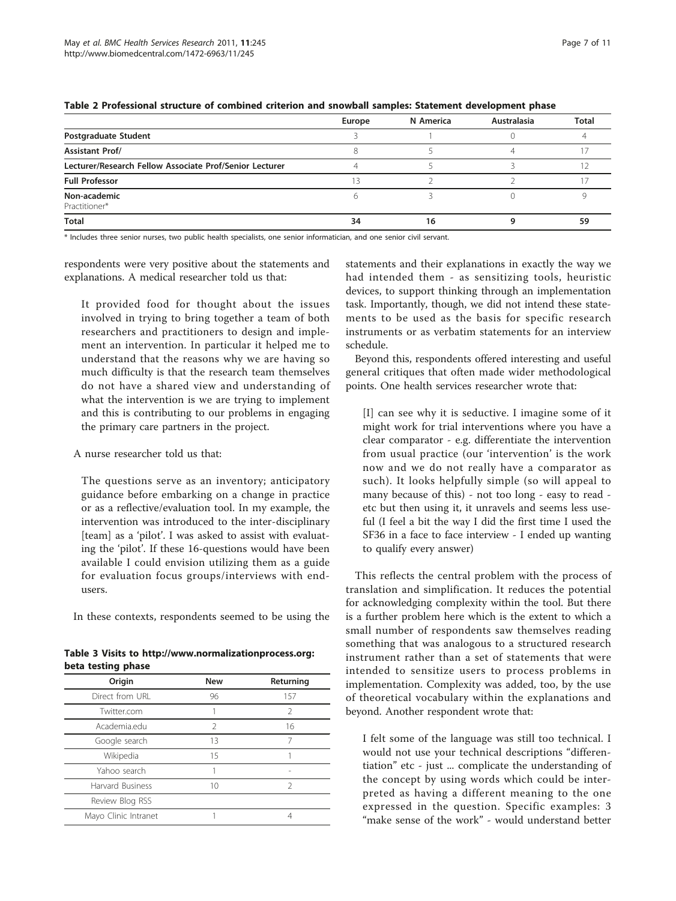|                                                         | Europe | N America | Australasia | <b>Total</b> |
|---------------------------------------------------------|--------|-----------|-------------|--------------|
| <b>Postgraduate Student</b>                             |        |           |             |              |
| <b>Assistant Prof/</b>                                  |        |           |             |              |
| Lecturer/Research Fellow Associate Prof/Senior Lecturer |        |           |             |              |
| <b>Full Professor</b>                                   | R      |           |             |              |
| Non-academic<br>Practitioner*                           |        |           |             |              |
| <b>Total</b>                                            | 34     | 16        |             | 59           |

<span id="page-6-0"></span>Table 2 Professional structure of combined criterion and snowball samples: Statement development phase

\* Includes three senior nurses, two public health specialists, one senior informatician, and one senior civil servant.

respondents were very positive about the statements and explanations. A medical researcher told us that:

It provided food for thought about the issues involved in trying to bring together a team of both researchers and practitioners to design and implement an intervention. In particular it helped me to understand that the reasons why we are having so much difficulty is that the research team themselves do not have a shared view and understanding of what the intervention is we are trying to implement and this is contributing to our problems in engaging the primary care partners in the project.

#### A nurse researcher told us that:

The questions serve as an inventory; anticipatory guidance before embarking on a change in practice or as a reflective/evaluation tool. In my example, the intervention was introduced to the inter-disciplinary [team] as a 'pilot'. I was asked to assist with evaluating the 'pilot'. If these 16-questions would have been available I could envision utilizing them as a guide for evaluation focus groups/interviews with endusers.

In these contexts, respondents seemed to be using the

Table 3 Visits to [http://www.normalizationprocess.org:](http://www.normalizationprocess.org) beta testing phase

| Origin               | <b>New</b>    | Returning     |
|----------------------|---------------|---------------|
| Direct from URL      | 96            | 157           |
| Twitter.com          |               | 2             |
| Academia.edu         | $\mathcal{P}$ | 16            |
| Google search        | 13            | 7             |
| Wikipedia            | 15            |               |
| Yahoo search         |               |               |
| Harvard Business     | 10            | $\mathcal{P}$ |
| Review Blog RSS      |               |               |
| Mayo Clinic Intranet |               |               |

statements and their explanations in exactly the way we had intended them - as sensitizing tools, heuristic devices, to support thinking through an implementation task. Importantly, though, we did not intend these statements to be used as the basis for specific research instruments or as verbatim statements for an interview schedule.

Beyond this, respondents offered interesting and useful general critiques that often made wider methodological points. One health services researcher wrote that:

[I] can see why it is seductive. I imagine some of it might work for trial interventions where you have a clear comparator - e.g. differentiate the intervention from usual practice (our 'intervention' is the work now and we do not really have a comparator as such). It looks helpfully simple (so will appeal to many because of this) - not too long - easy to read etc but then using it, it unravels and seems less useful (I feel a bit the way I did the first time I used the SF36 in a face to face interview - I ended up wanting to qualify every answer)

This reflects the central problem with the process of translation and simplification. It reduces the potential for acknowledging complexity within the tool. But there is a further problem here which is the extent to which a small number of respondents saw themselves reading something that was analogous to a structured research instrument rather than a set of statements that were intended to sensitize users to process problems in implementation. Complexity was added, too, by the use of theoretical vocabulary within the explanations and beyond. Another respondent wrote that:

I felt some of the language was still too technical. I would not use your technical descriptions "differentiation" etc - just ... complicate the understanding of the concept by using words which could be interpreted as having a different meaning to the one expressed in the question. Specific examples: 3 "make sense of the work" - would understand better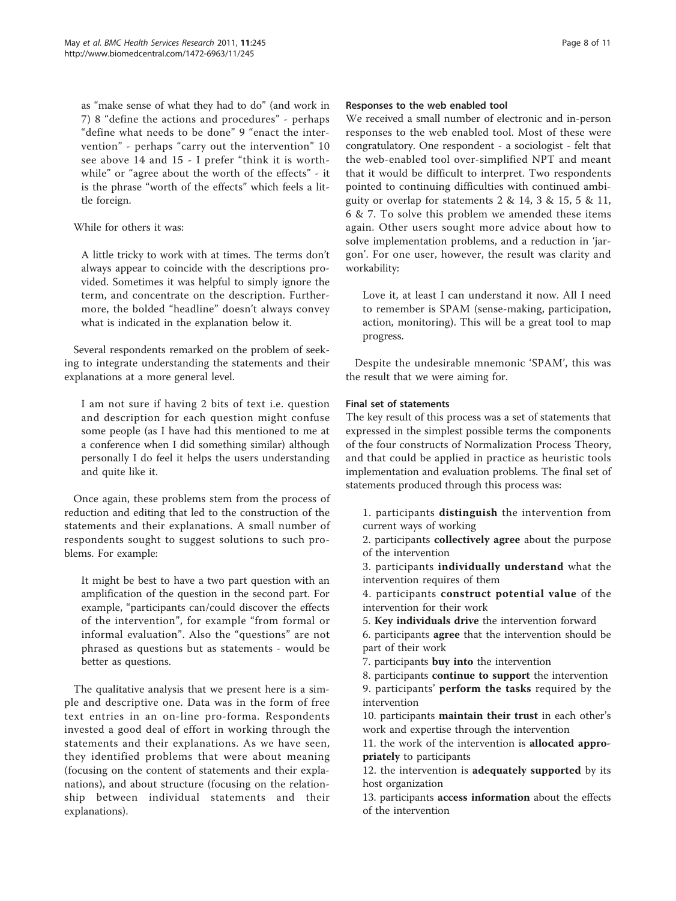as "make sense of what they had to do" (and work in 7) 8 "define the actions and procedures" - perhaps "define what needs to be done" 9 "enact the intervention" - perhaps "carry out the intervention" 10 see above 14 and 15 - I prefer "think it is worthwhile" or "agree about the worth of the effects" - it is the phrase "worth of the effects" which feels a little foreign.

## While for others it was:

A little tricky to work with at times. The terms don't always appear to coincide with the descriptions provided. Sometimes it was helpful to simply ignore the term, and concentrate on the description. Furthermore, the bolded "headline" doesn't always convey what is indicated in the explanation below it.

Several respondents remarked on the problem of seeking to integrate understanding the statements and their explanations at a more general level.

I am not sure if having 2 bits of text i.e. question and description for each question might confuse some people (as I have had this mentioned to me at a conference when I did something similar) although personally I do feel it helps the users understanding and quite like it.

Once again, these problems stem from the process of reduction and editing that led to the construction of the statements and their explanations. A small number of respondents sought to suggest solutions to such problems. For example:

It might be best to have a two part question with an amplification of the question in the second part. For example, "participants can/could discover the effects of the intervention", for example "from formal or informal evaluation". Also the "questions" are not phrased as questions but as statements - would be better as questions.

The qualitative analysis that we present here is a simple and descriptive one. Data was in the form of free text entries in an on-line pro-forma. Respondents invested a good deal of effort in working through the statements and their explanations. As we have seen, they identified problems that were about meaning (focusing on the content of statements and their explanations), and about structure (focusing on the relationship between individual statements and their explanations).

## Responses to the web enabled tool

We received a small number of electronic and in-person responses to the web enabled tool. Most of these were congratulatory. One respondent - a sociologist - felt that the web-enabled tool over-simplified NPT and meant that it would be difficult to interpret. Two respondents pointed to continuing difficulties with continued ambiguity or overlap for statements  $2 \& 14$ ,  $3 \& 15$ ,  $5 \& 11$ , 6 & 7. To solve this problem we amended these items again. Other users sought more advice about how to solve implementation problems, and a reduction in 'jargon'. For one user, however, the result was clarity and workability:

Love it, at least I can understand it now. All I need to remember is SPAM (sense-making, participation, action, monitoring). This will be a great tool to map progress.

Despite the undesirable mnemonic 'SPAM', this was the result that we were aiming for.

## Final set of statements

The key result of this process was a set of statements that expressed in the simplest possible terms the components of the four constructs of Normalization Process Theory, and that could be applied in practice as heuristic tools implementation and evaluation problems. The final set of statements produced through this process was:

1. participants distinguish the intervention from current ways of working

2. participants collectively agree about the purpose of the intervention

3. participants individually understand what the intervention requires of them

4. participants construct potential value of the intervention for their work

5. Key individuals drive the intervention forward

6. participants agree that the intervention should be part of their work

7. participants buy into the intervention

8. participants continue to support the intervention

9. participants' perform the tasks required by the intervention

10. participants maintain their trust in each other's work and expertise through the intervention

11. the work of the intervention is allocated appropriately to participants

12. the intervention is **adequately supported** by its host organization

13. participants access information about the effects of the intervention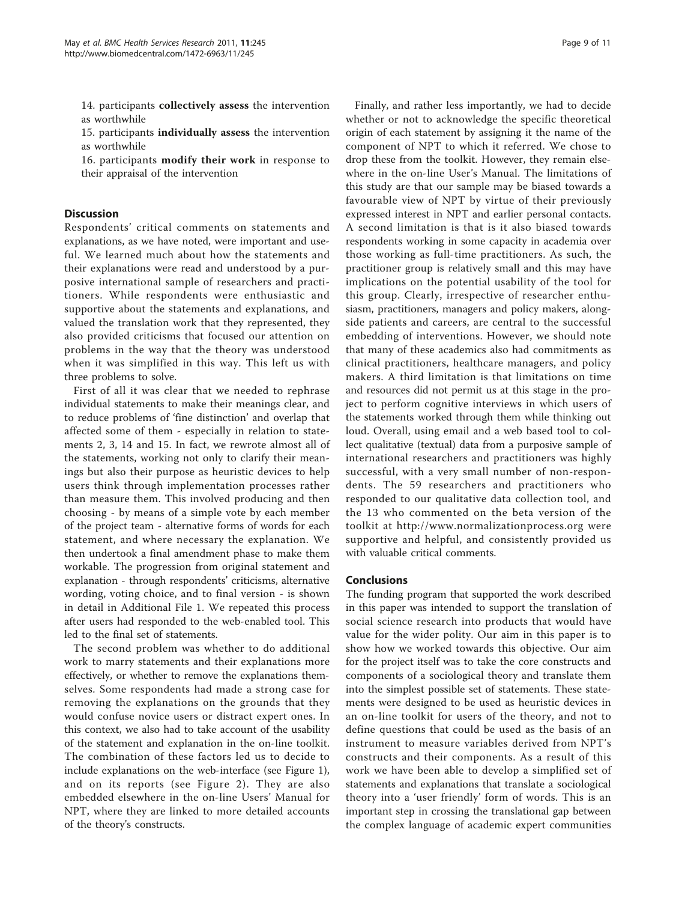14. participants collectively assess the intervention as worthwhile

15. participants individually assess the intervention as worthwhile

16. participants modify their work in response to their appraisal of the intervention

## **Discussion**

Respondents' critical comments on statements and explanations, as we have noted, were important and useful. We learned much about how the statements and their explanations were read and understood by a purposive international sample of researchers and practitioners. While respondents were enthusiastic and supportive about the statements and explanations, and valued the translation work that they represented, they also provided criticisms that focused our attention on problems in the way that the theory was understood when it was simplified in this way. This left us with three problems to solve.

First of all it was clear that we needed to rephrase individual statements to make their meanings clear, and to reduce problems of 'fine distinction' and overlap that affected some of them - especially in relation to statements 2, 3, 14 and 15. In fact, we rewrote almost all of the statements, working not only to clarify their meanings but also their purpose as heuristic devices to help users think through implementation processes rather than measure them. This involved producing and then choosing - by means of a simple vote by each member of the project team - alternative forms of words for each statement, and where necessary the explanation. We then undertook a final amendment phase to make them workable. The progression from original statement and explanation - through respondents' criticisms, alternative wording, voting choice, and to final version - is shown in detail in Additional File [1.](#page-9-0) We repeated this process after users had responded to the web-enabled tool. This led to the final set of statements.

The second problem was whether to do additional work to marry statements and their explanations more effectively, or whether to remove the explanations themselves. Some respondents had made a strong case for removing the explanations on the grounds that they would confuse novice users or distract expert ones. In this context, we also had to take account of the usability of the statement and explanation in the on-line toolkit. The combination of these factors led us to decide to include explanations on the web-interface (see Figure [1](#page-4-0)), and on its reports (see Figure [2\)](#page-5-0). They are also embedded elsewhere in the on-line Users' Manual for NPT, where they are linked to more detailed accounts of the theory's constructs.

Finally, and rather less importantly, we had to decide whether or not to acknowledge the specific theoretical origin of each statement by assigning it the name of the component of NPT to which it referred. We chose to drop these from the toolkit. However, they remain elsewhere in the on-line User's Manual. The limitations of this study are that our sample may be biased towards a favourable view of NPT by virtue of their previously expressed interest in NPT and earlier personal contacts. A second limitation is that is it also biased towards respondents working in some capacity in academia over those working as full-time practitioners. As such, the practitioner group is relatively small and this may have implications on the potential usability of the tool for this group. Clearly, irrespective of researcher enthusiasm, practitioners, managers and policy makers, alongside patients and careers, are central to the successful embedding of interventions. However, we should note that many of these academics also had commitments as clinical practitioners, healthcare managers, and policy makers. A third limitation is that limitations on time and resources did not permit us at this stage in the project to perform cognitive interviews in which users of the statements worked through them while thinking out loud. Overall, using email and a web based tool to collect qualitative (textual) data from a purposive sample of international researchers and practitioners was highly successful, with a very small number of non-respondents. The 59 researchers and practitioners who responded to our qualitative data collection tool, and the 13 who commented on the beta version of the toolkit at<http://www.normalizationprocess.org> were supportive and helpful, and consistently provided us with valuable critical comments.

## Conclusions

The funding program that supported the work described in this paper was intended to support the translation of social science research into products that would have value for the wider polity. Our aim in this paper is to show how we worked towards this objective. Our aim for the project itself was to take the core constructs and components of a sociological theory and translate them into the simplest possible set of statements. These statements were designed to be used as heuristic devices in an on-line toolkit for users of the theory, and not to define questions that could be used as the basis of an instrument to measure variables derived from NPT's constructs and their components. As a result of this work we have been able to develop a simplified set of statements and explanations that translate a sociological theory into a 'user friendly' form of words. This is an important step in crossing the translational gap between the complex language of academic expert communities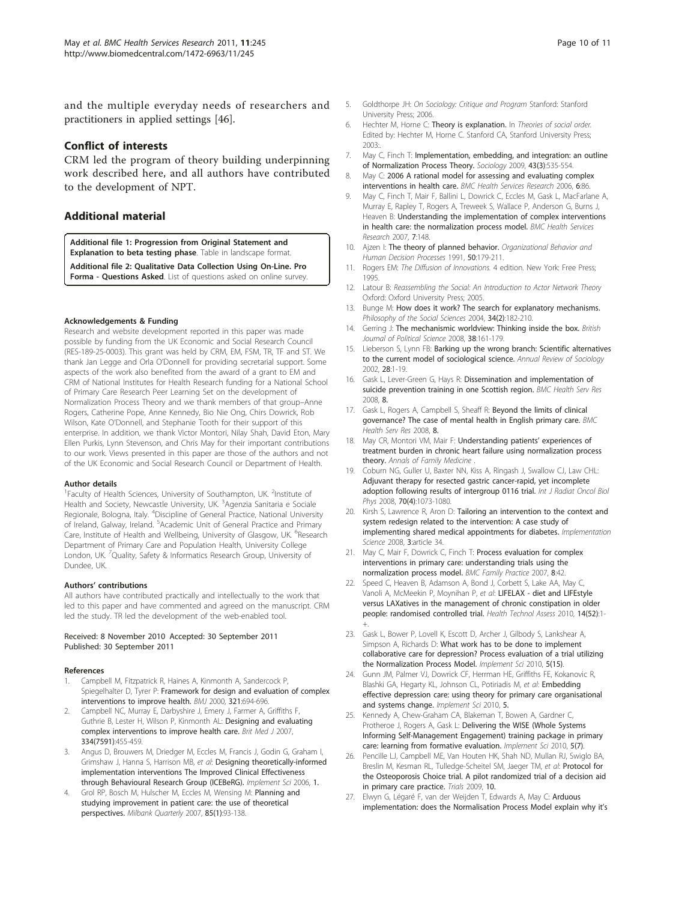<span id="page-9-0"></span>and the multiple everyday needs of researchers and practitioners in applied settings [\[46](#page-10-0)].

#### Conflict of interests

CRM led the program of theory building underpinning work described here, and all authors have contributed to the development of NPT.

## Additional material

[Additional file 1: P](http://www.biomedcentral.com/content/supplementary/1472-6963-11-245-S1.PDF)rogression from Original Statement and Explanation to beta testing phase. Table in landscape format.

[Additional file 2: Q](http://www.biomedcentral.com/content/supplementary/1472-6963-11-245-S2.PDF)ualitative Data Collection Using On-Line. Pro Forma - Questions Asked. List of questions asked on online survey.

#### Acknowledgements & Funding

Research and website development reported in this paper was made possible by funding from the UK Economic and Social Research Council (RES-189-25-0003). This grant was held by CRM, EM, FSM, TR, TF and ST. We thank Jan Legge and Orla O'Donnell for providing secretarial support. Some aspects of the work also benefited from the award of a grant to EM and CRM of National Institutes for Health Research funding for a National School of Primary Care Research Peer Learning Set on the development of Normalization Process Theory and we thank members of that group–Anne Rogers, Catherine Pope, Anne Kennedy, Bio Nie Ong, Chirs Dowrick, Rob Wilson, Kate O'Donnell, and Stephanie Tooth for their support of this enterprise. In addition, we thank Victor Montori, Nilay Shah, David Eton, Mary Ellen Purkis, Lynn Stevenson, and Chris May for their important contributions to our work. Views presented in this paper are those of the authors and not of the UK Economic and Social Research Council or Department of Health.

#### Author details

<sup>1</sup> Faculty of Health Sciences, University of Southampton, UK. <sup>2</sup>Institute of Health and Society, Newcastle University, UK. <sup>3</sup>Agenzia Sanitaria e Sociale Regionale, Bologna, Italy. <sup>4</sup>Discipline of General Practice, National University of Ireland, Galway, Ireland. <sup>5</sup> Academic Unit of General Practice and Primary Care, Institute of Health and Wellbeing, University of Glasgow, UK. <sup>6</sup>Research Department of Primary Care and Population Health, University College London, UK. <sup>7</sup>Quality, Safety & Informatics Research Group, University of Dundee, UK.

#### Authors' contributions

All authors have contributed practically and intellectually to the work that led to this paper and have commented and agreed on the manuscript. CRM led the study. TR led the development of the web-enabled tool.

#### Received: 8 November 2010 Accepted: 30 September 2011 Published: 30 September 2011

#### References

- 1. Campbell M, Fitzpatrick R, Haines A, Kinmonth A, Sandercock P, Spiegelhalter D, Tyrer P: [Framework for design and evaluation of complex](http://www.ncbi.nlm.nih.gov/pubmed/10987780?dopt=Abstract) [interventions to improve health.](http://www.ncbi.nlm.nih.gov/pubmed/10987780?dopt=Abstract) BMJ 2000, 321:694-696.
- 2. Campbell NC, Murray E, Darbyshire J, Emery J, Farmer A, Griffiths F, Guthrie B, Lester H, Wilson P, Kinmonth AL: [Designing and evaluating](http://www.ncbi.nlm.nih.gov/pubmed/17332585?dopt=Abstract) [complex interventions to improve health care.](http://www.ncbi.nlm.nih.gov/pubmed/17332585?dopt=Abstract) Brit Med J 2007, 334(7591):455-459.
- 3. Angus D, Brouwers M, Driedger M, Eccles M, Francis J, Godin G, Graham I, Grimshaw J, Hanna S, Harrison MB, et al: Designing theoretically-informed implementation interventions The Improved Clinical Effectiveness through Behavioural Research Group (ICEBeRG). Implement Sci 2006, 1.
- Grol RP, Bosch M, Hulscher M, Eccles M, Wensing M: [Planning and](http://www.ncbi.nlm.nih.gov/pubmed/17319808?dopt=Abstract) [studying improvement in patient care: the use of theoretical](http://www.ncbi.nlm.nih.gov/pubmed/17319808?dopt=Abstract) [perspectives.](http://www.ncbi.nlm.nih.gov/pubmed/17319808?dopt=Abstract) Milbank Quarterly 2007, 85(1):93-138.
- 6. Hechter M, Horne C: Theory is explanation. In Theories of social order. Edited by: Hechter M, Horne C. Stanford CA, Stanford University Press; 2003:.
- 7. May C, Finch T: Implementation, embedding, and integration: an outline of Normalization Process Theory. Sociology 2009, 43(3):535-554.
- 8. May C: [2006 A rational model for assessing and evaluating complex](http://www.ncbi.nlm.nih.gov/pubmed/16827928?dopt=Abstract) [interventions in health care.](http://www.ncbi.nlm.nih.gov/pubmed/16827928?dopt=Abstract) BMC Health Services Research 2006, 6:86.
- 9. May C, Finch T, Mair F, Ballini L, Dowrick C, Eccles M, Gask L, MacFarlane A, Murray E, Rapley T, Rogers A, Treweek S, Wallace P, Anderson G, Burns J, Heaven B: [Understanding the implementation of complex interventions](http://www.ncbi.nlm.nih.gov/pubmed/17880693?dopt=Abstract) [in health care: the normalization process model.](http://www.ncbi.nlm.nih.gov/pubmed/17880693?dopt=Abstract) BMC Health Services Research 2007, 7:148.
- 10. Ajzen I: The theory of planned behavior. Organizational Behavior and Human Decision Processes 1991, 50:179-211.
- 11. Rogers EM: The Diffusion of Innovations. 4 edition. New York: Free Press; 1995.
- 12. Latour B: Reassembling the Social: An Introduction to Actor Network Theory Oxford: Oxford University Press; 2005.
- 13. Bunge M: How does it work? The search for explanatory mechanisms. Philosophy of the Social Sciences 2004, 34(2):182-210.
- 14. Gerring J: The mechanismic worldview: Thinking inside the box. British Journal of Political Science 2008, 38:161-179.
- 15. Lieberson S, Lynn FB: Barking up the wrong branch: Scientific alternatives to the current model of sociological science. Annual Review of Sociology 2002, 28:1-19.
- 16. Gask L, Lever-Green G, Hays R: Dissemination and implementation of suicide prevention training in one Scottish region. BMC Health Serv Res 2008, 8.
- 17. Gask L, Rogers A, Campbell S, Sheaff R: Beyond the limits of clinical governance? The case of mental health in English primary care. BMC Health Serv Res 2008, 8.
- 18. May CR, Montori VM, Mair F: Understanding patients' experiences of treatment burden in chronic heart failure using normalization process theory. Annals of Family Medicine
- 19. Coburn NG, Guller U, Baxter NN, Kiss A, Ringash J, Swallow CJ, Law CHL: [Adjuvant therapy for resected gastric cancer-rapid, yet incomplete](http://www.ncbi.nlm.nih.gov/pubmed/17905529?dopt=Abstract) [adoption following results of intergroup 0116 trial.](http://www.ncbi.nlm.nih.gov/pubmed/17905529?dopt=Abstract) Int J Radiat Oncol Biol Phys 2008, 70(4):1073-1080.
- 20. Kirsh S, Lawrence R, Aron D: Tailoring an intervention to the context and system redesign related to the intervention: A case study of implementing shared medical appointments for diabetes. Implementation Science 2008, 3:article 34.
- 21. May C, Mair F, Dowrick C, Finch T: [Process evaluation for complex](http://www.ncbi.nlm.nih.gov/pubmed/17650326?dopt=Abstract) [interventions in primary care: understanding trials using the](http://www.ncbi.nlm.nih.gov/pubmed/17650326?dopt=Abstract) [normalization process model.](http://www.ncbi.nlm.nih.gov/pubmed/17650326?dopt=Abstract) BMC Family Practice 2007, 8:42.
- 22. Speed C, Heaven B, Adamson A, Bond J, Corbett S, Lake AA, May C, Vanoli A, McMeekin P, Moynihan P, et al: [LIFELAX - diet and LIFEstyle](http://www.ncbi.nlm.nih.gov/pubmed/21208547?dopt=Abstract) [versus LAXatives in the management of chronic constipation in older](http://www.ncbi.nlm.nih.gov/pubmed/21208547?dopt=Abstract) [people: randomised controlled trial.](http://www.ncbi.nlm.nih.gov/pubmed/21208547?dopt=Abstract) Health Technol Assess 2010, 14(52):1- +.
- 23. Gask L, Bower P, Lovell K, Escott D, Archer J, Gilbody S, Lankshear A, Simpson A, Richards D: What work has to be done to implement collaborative care for depression? Process evaluation of a trial utilizing the Normalization Process Model. Implement Sci 2010, 5(15).
- 24. Gunn JM, Palmer VJ, Dowrick CF, Herrman HE, Griffiths FE, Kokanovic R, Blashki GA, Hegarty KL, Johnson CL, Potiriadis M, et al: Embedding effective depression care: using theory for primary care organisational and systems change. Implement Sci 2010, 5.
- 25. Kennedy A, Chew-Graham CA, Blakeman T, Bowen A, Gardner C, Protheroe J, Rogers A, Gask L: Delivering the WISE (Whole Systems Informing Self-Management Engagement) training package in primary care: learning from formative evaluation. Implement Sci 2010, 5(7).
- 26. Pencille LJ, Campbell ME, Van Houten HK, Shah ND, Mullan RJ, Swiglo BA, Breslin M, Kesman RL, Tulledge-Scheitel SM, Jaeger TM, et al: Protocol for the Osteoporosis Choice trial. A pilot randomized trial of a decision aid in primary care practice. Trials 2009, 10.
- 27. Elwyn G, Légaré F, van der Weijden T, Edwards A, May C: Arduous implementation: does the Normalisation Process Model explain why it's